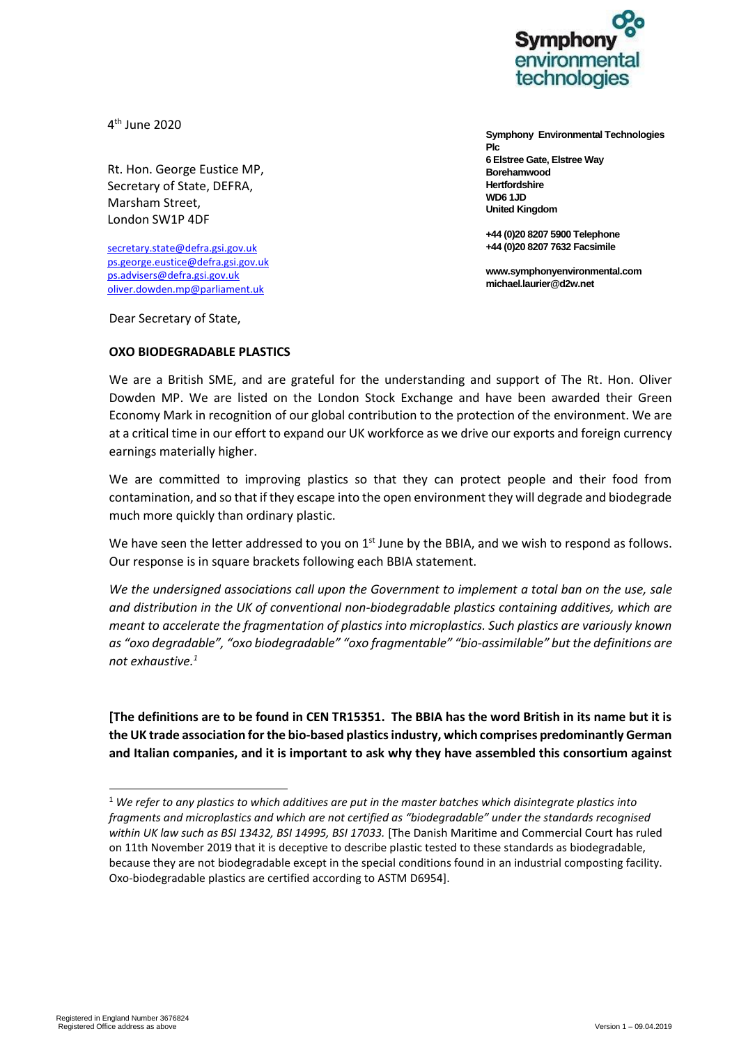

4 th June 2020

Rt. Hon. George Eustice MP, Secretary of State, DEFRA, Marsham Street, London SW1P 4DF

[secretary.state@defra.gsi.gov.uk](mailto:secretary.state@defra.gsi.gov.uk) [ps.george.eustice@defra.gsi.gov.uk](mailto:ps.george.eustice@defra.gsi.gov.uk)  [ps.advisers@defra.gsi.gov.uk](mailto:ps.advisers@defra.gsi.gov.uk) [oliver.dowden.mp@parliament.uk](mailto:oliver.dowden.mp@parliament.uk)

Dear Secretary of State,

## **OXO BIODEGRADABLE PLASTICS**

**Symphony Environmental Technologies Plc 6 Elstree Gate, Elstree Way Borehamwood Hertfordshire WD6 1JD United Kingdom**

**+44 (0)20 8207 5900 Telephone +44 (0)20 8207 7632 Facsimile**

**www.symphonyenvironmental.com michael.laurier@d2w.net**

We are a British SME, and are grateful for the understanding and support of The Rt. Hon. Oliver Dowden MP. We are listed on the London Stock Exchange and have been awarded their Green Economy Mark in recognition of our global contribution to the protection of the environment. We are at a critical time in our effort to expand our UK workforce as we drive our exports and foreign currency earnings materially higher.

We are committed to improving plastics so that they can protect people and their food from contamination, and so that if they escape into the open environment they will degrade and biodegrade much more quickly than ordinary plastic.

We have seen the letter addressed to you on  $1<sup>st</sup>$  June by the BBIA, and we wish to respond as follows. Our response is in square brackets following each BBIA statement.

*We the undersigned associations call upon the Government to implement a total ban on the use, sale and distribution in the UK of conventional non-biodegradable plastics containing additives, which are meant to accelerate the fragmentation of plastics into microplastics. Such plastics are variously known as "oxo degradable", "oxo biodegradable" "oxo fragmentable" "bio-assimilable" but the definitions are not exhaustive.<sup>1</sup>*

**[The definitions are to be found in CEN TR15351. The BBIA has the word British in its name but it is the UK trade association for the bio-based plastics industry, which comprises predominantly German and Italian companies, and it is important to ask why they have assembled this consortium against** 

<sup>1</sup> *We refer to any plastics to which additives are put in the master batches which disintegrate plastics into fragments and microplastics and which are not certified as "biodegradable" under the standards recognised within UK law such as BSI 13432, BSI 14995, BSI 17033.* [The Danish Maritime and Commercial Court has ruled on 11th November 2019 that it is deceptive to describe plastic tested to these standards as biodegradable, because they are not biodegradable except in the special conditions found in an industrial composting facility. Oxo-biodegradable plastics are certified according to ASTM D6954].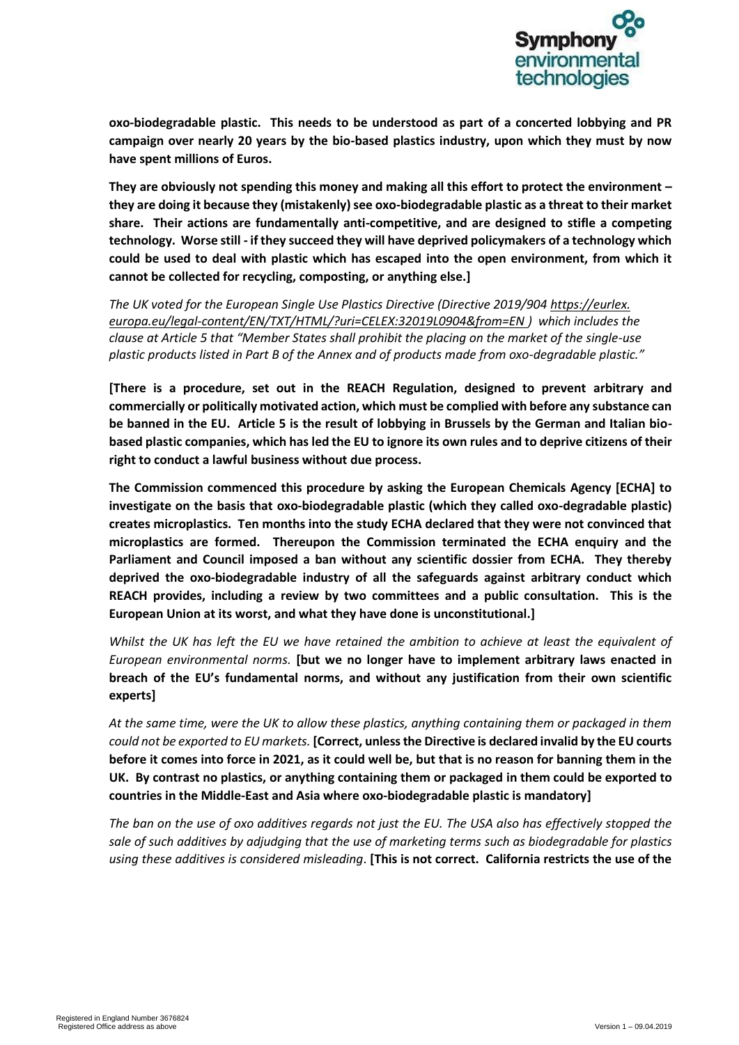

**oxo-biodegradable plastic. This needs to be understood as part of a concerted lobbying and PR campaign over nearly 20 years by the bio-based plastics industry, upon which they must by now have spent millions of Euros.** 

**They are obviously not spending this money and making all this effort to protect the environment – they are doing it because they (mistakenly) see oxo-biodegradable plastic as a threat to their market share. Their actions are fundamentally anti-competitive, and are designed to stifle a competing technology. Worse still - if they succeed they will have deprived policymakers of a technology which could be used to deal with plastic which has escaped into the open environment, from which it cannot be collected for recycling, composting, or anything else.]**

*The UK voted for the European Single Use Plastics Directive (Directive 2019/904 https://eurlex. europa.eu/legal-content/EN/TXT/HTML/?uri=CELEX:32019L0904&from=EN ) which includes the clause at Article 5 that "Member States shall prohibit the placing on the market of the single-use plastic products listed in Part B of the Annex and of products made from oxo-degradable plastic."*

**[There is a procedure, set out in the REACH Regulation, designed to prevent arbitrary and commercially or politically motivated action, which must be complied with before any substance can be banned in the EU. Article 5 is the result of lobbying in Brussels by the German and Italian biobased plastic companies, which has led the EU to ignore its own rules and to deprive citizens of their right to conduct a lawful business without due process.** 

**The Commission commenced this procedure by asking the European Chemicals Agency [ECHA] to investigate on the basis that oxo-biodegradable plastic (which they called oxo-degradable plastic) creates microplastics. Ten months into the study ECHA declared that they were not convinced that microplastics are formed. Thereupon the Commission terminated the ECHA enquiry and the Parliament and Council imposed a ban without any scientific dossier from ECHA. They thereby deprived the oxo-biodegradable industry of all the safeguards against arbitrary conduct which REACH provides, including a review by two committees and a public consultation. This is the European Union at its worst, and what they have done is unconstitutional.]**

*Whilst the UK has left the EU we have retained the ambition to achieve at least the equivalent of European environmental norms.* **[but we no longer have to implement arbitrary laws enacted in breach of the EU's fundamental norms, and without any justification from their own scientific experts]**

*At the same time, were the UK to allow these plastics, anything containing them or packaged in them could not be exported to EU markets.* **[Correct, unless the Directive is declared invalid by the EU courts before it comes into force in 2021, as it could well be, but that is no reason for banning them in the UK. By contrast no plastics, or anything containing them or packaged in them could be exported to countries in the Middle-East and Asia where oxo-biodegradable plastic is mandatory]**

*The ban on the use of oxo additives regards not just the EU. The USA also has effectively stopped the sale of such additives by adjudging that the use of marketing terms such as biodegradable for plastics using these additives is considered misleading*. **[This is not correct. California restricts the use of the**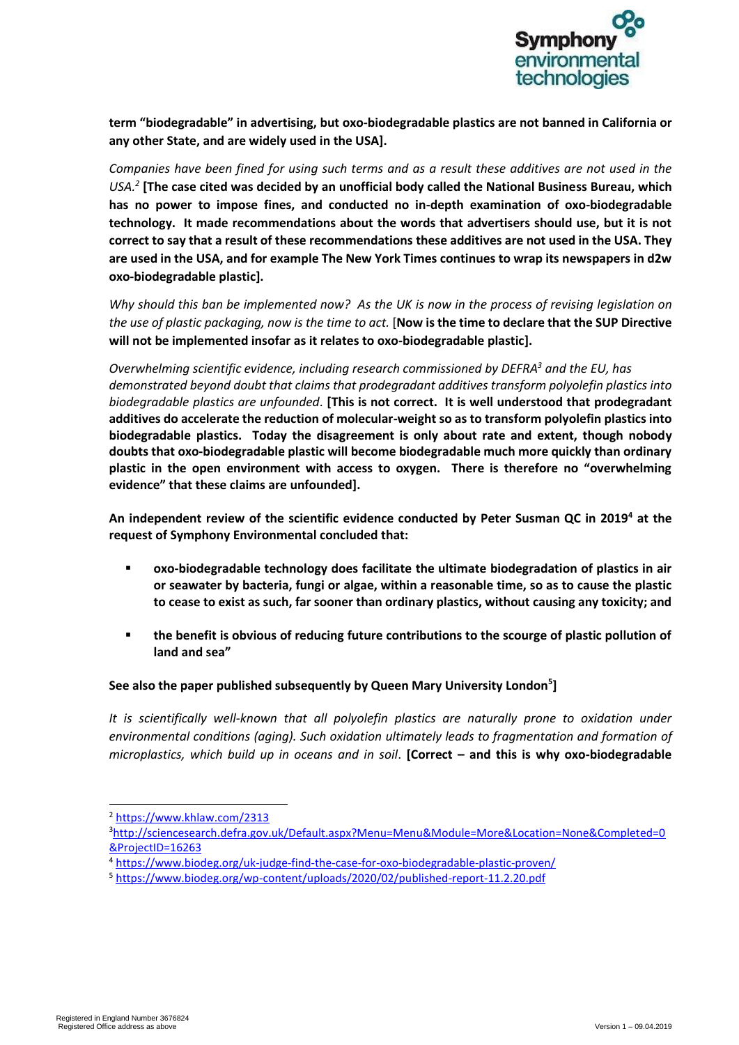

**term "biodegradable" in advertising, but oxo-biodegradable plastics are not banned in California or any other State, and are widely used in the USA].**

*Companies have been fined for using such terms and as a result these additives are not used in the USA.<sup>2</sup>* **[The case cited was decided by an unofficial body called the National Business Bureau, which has no power to impose fines, and conducted no in-depth examination of oxo-biodegradable technology. It made recommendations about the words that advertisers should use, but it is not correct to say that a result of these recommendations these additives are not used in the USA. They are used in the USA, and for example The New York Times continues to wrap its newspapers in d2w oxo-biodegradable plastic].**

*Why should this ban be implemented now? As the UK is now in the process of revising legislation on the use of plastic packaging, now is the time to act.* [**Now is the time to declare that the SUP Directive will not be implemented insofar as it relates to oxo-biodegradable plastic].**

*Overwhelming scientific evidence, including research commissioned by DEFRA<sup>3</sup> and the EU, has demonstrated beyond doubt that claims that prodegradant additives transform polyolefin plastics into biodegradable plastics are unfounded*. **[This is not correct. It is well understood that prodegradant additives do accelerate the reduction of molecular-weight so as to transform polyolefin plastics into biodegradable plastics. Today the disagreement is only about rate and extent, though nobody doubts that oxo-biodegradable plastic will become biodegradable much more quickly than ordinary plastic in the open environment with access to oxygen. There is therefore no "overwhelming evidence" that these claims are unfounded].** 

**An independent review of the scientific evidence conducted by Peter Susman QC in 2019<sup>4</sup> at the request of Symphony Environmental concluded that:**

- **oxo-biodegradable technology does facilitate the ultimate biodegradation of plastics in air or seawater by bacteria, fungi or algae, within a reasonable time, so as to cause the plastic to cease to exist as such, far sooner than ordinary plastics, without causing any toxicity; and**
- the benefit is obvious of reducing future contributions to the scourge of plastic pollution of **land and sea"**

## **See also the paper published subsequently by Queen Mary University London<sup>5</sup> ]**

*It is scientifically well-known that all polyolefin plastics are naturally prone to oxidation under environmental conditions (aging). Such oxidation ultimately leads to fragmentation and formation of microplastics, which build up in oceans and in soil*. **[Correct – and this is why oxo-biodegradable** 

<sup>2</sup> <https://www.khlaw.com/2313>

<sup>3</sup>[http://sciencesearch.defra.gov.uk/Default.aspx?Menu=Menu&Module=More&Location=None&Completed=0](http://sciencesearch.defra.gov.uk/Default.aspx?Menu=Menu&Module=More&Location=None&Completed=0&ProjectID=16263) [&ProjectID=16263](http://sciencesearch.defra.gov.uk/Default.aspx?Menu=Menu&Module=More&Location=None&Completed=0&ProjectID=16263) 

<sup>4</sup> <https://www.biodeg.org/uk-judge-find-the-case-for-oxo-biodegradable-plastic-proven/>

<sup>5</sup> <https://www.biodeg.org/wp-content/uploads/2020/02/published-report-11.2.20.pdf>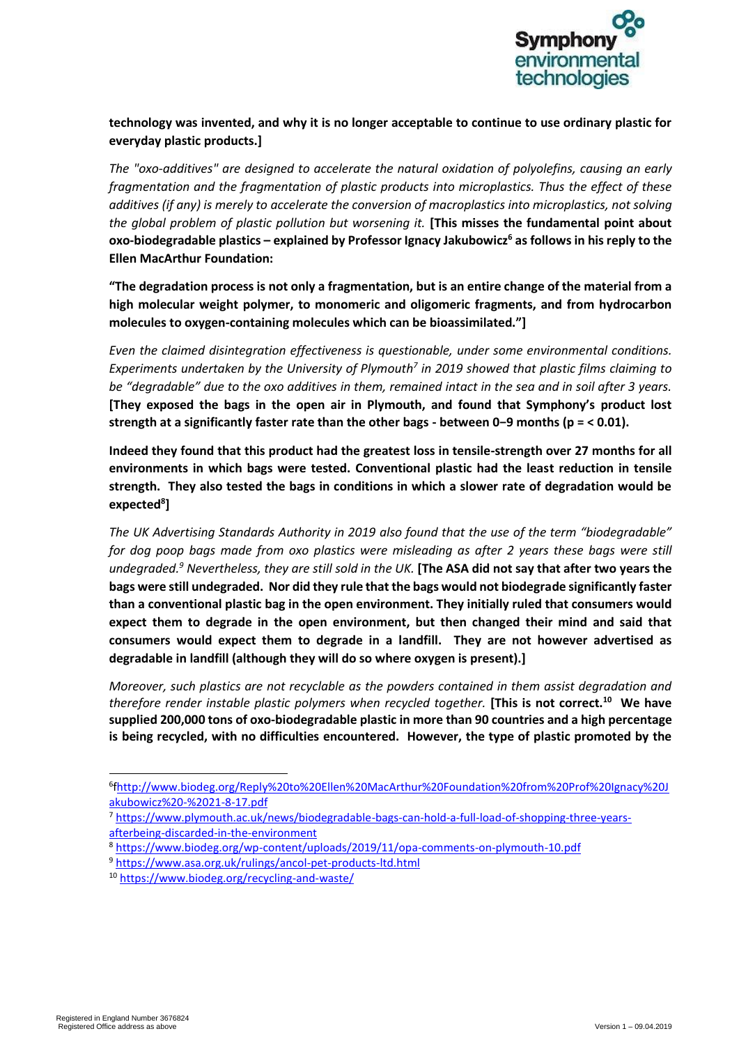

## **technology was invented, and why it is no longer acceptable to continue to use ordinary plastic for everyday plastic products.]**

*The "oxo-additives" are designed to accelerate the natural oxidation of polyolefins, causing an early fragmentation and the fragmentation of plastic products into microplastics. Thus the effect of these additives (if any) is merely to accelerate the conversion of macroplastics into microplastics, not solving the global problem of plastic pollution but worsening it.* **[This misses the fundamental point about oxo-biodegradable plastics – explained by Professor Ignacy Jakubowicz<sup>6</sup> as follows in his reply to the Ellen MacArthur Foundation:** 

**"The degradation process is not only a fragmentation, but is an entire change of the material from a high molecular weight polymer, to monomeric and oligomeric fragments, and from hydrocarbon molecules to oxygen-containing molecules which can be bioassimilated."]**

*Even the claimed disintegration effectiveness is questionable, under some environmental conditions. Experiments undertaken by the University of Plymouth<sup>7</sup> in 2019 showed that plastic films claiming to be "degradable" due to the oxo additives in them, remained intact in the sea and in soil after 3 years.* **[They exposed the bags in the open air in Plymouth, and found that Symphony's product lost strength at a significantly faster rate than the other bags - between 0−9 months (p = < 0.01).** 

**Indeed they found that this product had the greatest loss in tensile-strength over 27 months for all environments in which bags were tested. Conventional plastic had the least reduction in tensile strength. They also tested the bags in conditions in which a slower rate of degradation would be expected<sup>8</sup> ]**

*The UK Advertising Standards Authority in 2019 also found that the use of the term "biodegradable" for dog poop bags made from oxo plastics were misleading as after 2 years these bags were still undegraded.<sup>9</sup> Nevertheless, they are still sold in the UK.* **[The ASA did not say that after two years the bags were still undegraded. Nor did they rule that the bags would not biodegrade significantly faster than a conventional plastic bag in the open environment. They initially ruled that consumers would expect them to degrade in the open environment, but then changed their mind and said that consumers would expect them to degrade in a landfill. They are not however advertised as degradable in landfill (although they will do so where oxygen is present).]**

*Moreover, such plastics are not recyclable as the powders contained in them assist degradation and therefore render instable plastic polymers when recycled together.* **[This is not correct.<sup>10</sup> We have supplied 200,000 tons of oxo-biodegradable plastic in more than 90 countries and a high percentage is being recycled, with no difficulties encountered. However, the type of plastic promoted by the** 

<sup>6</sup> [fhttp://www.biodeg.org/Reply%20to%20Ellen%20MacArthur%20Foundation%20from%20Prof%20Ignacy%20J](http://www.biodeg.org/Reply%20to%20Ellen%20MacArthur%20Foundation%20from%20Prof%20Ignacy%20Jakubowicz%20-%2021-8-17.pdf) [akubowicz%20-%2021-8-17.pdf](http://www.biodeg.org/Reply%20to%20Ellen%20MacArthur%20Foundation%20from%20Prof%20Ignacy%20Jakubowicz%20-%2021-8-17.pdf)

<sup>7</sup> [https://www.plymouth.ac.uk/news/biodegradable-bags-can-hold-a-full-load-of-shopping-three-years](https://www.plymouth.ac.uk/news/biodegradable-bags-can-hold-a-full-load-of-shopping-three-years-afterbeing-discarded-in-the-environment)[afterbeing-discarded-in-the-environment](https://www.plymouth.ac.uk/news/biodegradable-bags-can-hold-a-full-load-of-shopping-three-years-afterbeing-discarded-in-the-environment)

<sup>8</sup> <https://www.biodeg.org/wp-content/uploads/2019/11/opa-comments-on-plymouth-10.pdf>

<sup>9</sup> <https://www.asa.org.uk/rulings/ancol-pet-products-ltd.html>

<sup>10</sup> <https://www.biodeg.org/recycling-and-waste/>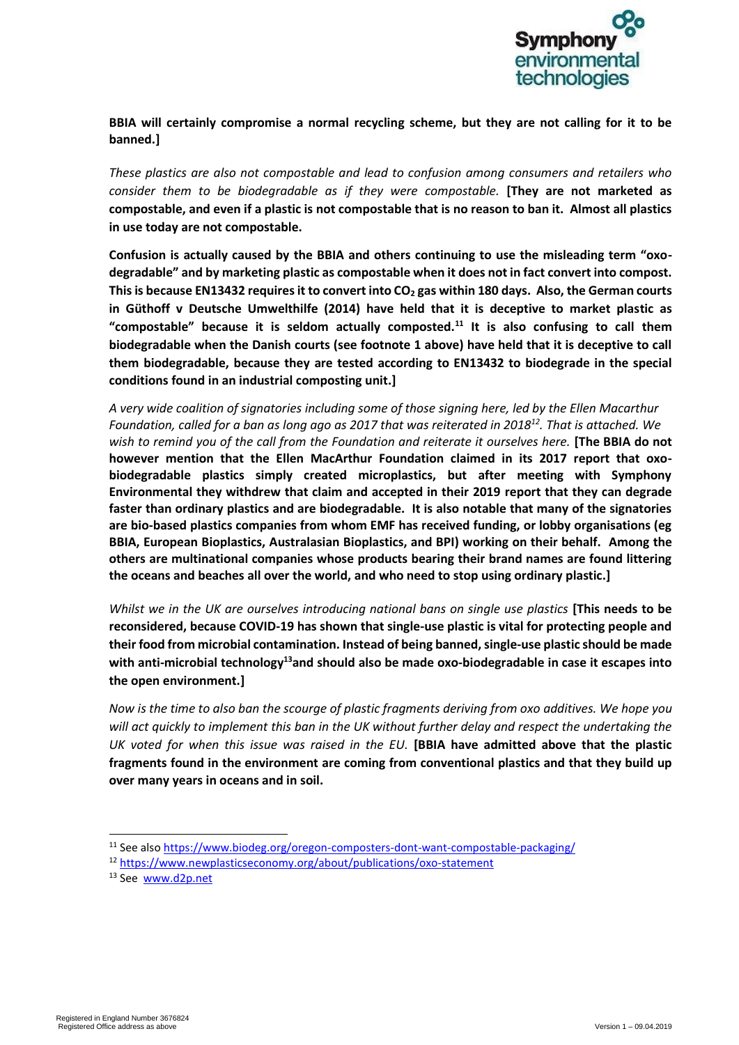

## **BBIA will certainly compromise a normal recycling scheme, but they are not calling for it to be banned.]**

*These plastics are also not compostable and lead to confusion among consumers and retailers who consider them to be biodegradable as if they were compostable.* **[They are not marketed as compostable, and even if a plastic is not compostable that is no reason to ban it. Almost all plastics in use today are not compostable.** 

**Confusion is actually caused by the BBIA and others continuing to use the misleading term "oxodegradable" and by marketing plastic as compostable when it does not in fact convert into compost. This is because EN13432 requires it to convert into CO<sup>2</sup> gas within 180 days. Also, the German courts in Güthoff v Deutsche Umwelthilfe (2014) have held that it is deceptive to market plastic as "compostable" because it is seldom actually composted.<sup>11</sup> It is also confusing to call them biodegradable when the Danish courts (see footnote 1 above) have held that it is deceptive to call them biodegradable, because they are tested according to EN13432 to biodegrade in the special conditions found in an industrial composting unit.]**

*A very wide coalition of signatories including some of those signing here, led by the Ellen Macarthur Foundation, called for a ban as long ago as 2017 that was reiterated in 2018<sup>12</sup>. That is attached. We wish to remind you of the call from the Foundation and reiterate it ourselves here.* **[The BBIA do not however mention that the Ellen MacArthur Foundation claimed in its 2017 report that oxobiodegradable plastics simply created microplastics, but after meeting with Symphony Environmental they withdrew that claim and accepted in their 2019 report that they can degrade faster than ordinary plastics and are biodegradable. It is also notable that many of the signatories are bio-based plastics companies from whom EMF has received funding, or lobby organisations (eg BBIA, European Bioplastics, Australasian Bioplastics, and BPI) working on their behalf. Among the others are multinational companies whose products bearing their brand names are found littering the oceans and beaches all over the world, and who need to stop using ordinary plastic.]**

*Whilst we in the UK are ourselves introducing national bans on single use plastics* **[This needs to be reconsidered, because COVID-19 has shown that single-use plastic is vital for protecting people and their food from microbial contamination. Instead of being banned, single-use plastic should be made with anti-microbial technology<sup>13</sup>and should also be made oxo-biodegradable in case it escapes into the open environment.]** 

*Now is the time to also ban the scourge of plastic fragments deriving from oxo additives. We hope you will act quickly to implement this ban in the UK without further delay and respect the undertaking the UK voted for when this issue was raised in the EU.* **[BBIA have admitted above that the plastic fragments found in the environment are coming from conventional plastics and that they build up over many years in oceans and in soil.** 

<sup>11</sup> See also<https://www.biodeg.org/oregon-composters-dont-want-compostable-packaging/>

<sup>12</sup> <https://www.newplasticseconomy.org/about/publications/oxo-statement>

<sup>13</sup> See [www.d2p.net](http://www.d2p.net/)